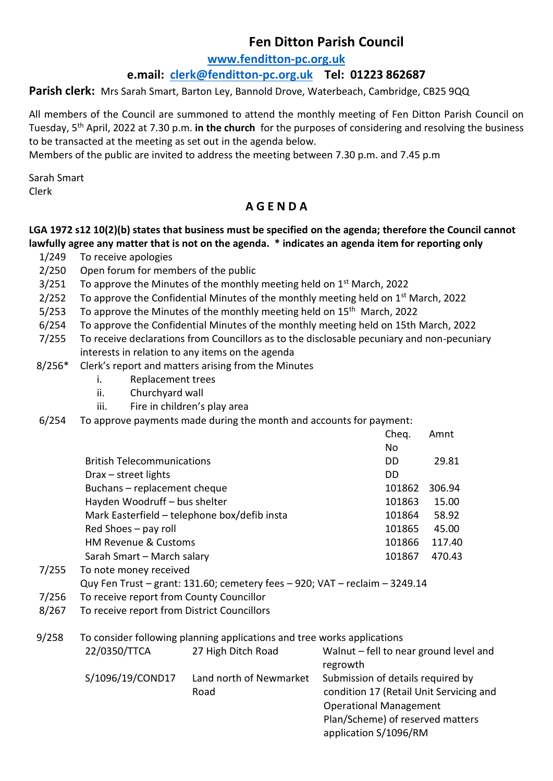# **Fen Ditton Parish Council**

#### **[www.fenditton-pc.org.uk](http://www.fenditton-pc.org.uk/)**

### **e.mail: [clerk@fenditton-pc.org.uk](mailto:clerk@fenditton-pc.org.uk) Tel: 01223 862687**

Parish clerk: Mrs Sarah Smart, Barton Ley, Bannold Drove, Waterbeach, Cambridge, CB25 9QQ

All members of the Council are summoned to attend the monthly meeting of Fen Ditton Parish Council on Tuesday, 5th April, 2022 at 7.30 p.m. **in the church** for the purposes of considering and resolving the business to be transacted at the meeting as set out in the agenda below.

Members of the public are invited to address the meeting between 7.30 p.m. and 7.45 p.m

Sarah Smart Clerk

## **A G E N D A**

#### **LGA 1972 s12 10(2)(b) states that business must be specified on the agenda; therefore the Council cannot lawfully agree any matter that is not on the agenda. \* indicates an agenda item for reporting only**

- 1/249 To receive apologies
- 2/250 Open forum for members of the public
- $3/251$  To approve the Minutes of the monthly meeting held on  $1<sup>st</sup>$  March, 2022
- 2/252 To approve the Confidential Minutes of the monthly meeting held on  $1<sup>st</sup>$  March, 2022
- 5/253 To approve the Minutes of the monthly meeting held on 15<sup>th</sup> March, 2022
- 6/254 To approve the Confidential Minutes of the monthly meeting held on 15th March, 2022
- 7/255 To receive declarations from Councillors as to the disclosable pecuniary and non-pecuniary interests in relation to any items on the agenda
- 8/256\* Clerk's report and matters arising from the Minutes
	- i. Replacement trees
	- ii. Churchyard wall
	- iii. Fire in children's play area
- 6/254 To approve payments made during the month and accounts for payment:

|                                              | Cheq.  | Amnt   |
|----------------------------------------------|--------|--------|
|                                              | No     |        |
| <b>British Telecommunications</b>            | DD     | 29.81  |
| $Draw - street$ lights                       | DD     |        |
| Buchans - replacement cheque                 | 101862 | 306.94 |
| Hayden Woodruff - bus shelter                | 101863 | 15.00  |
| Mark Easterfield - telephone box/defib insta | 101864 | 58.92  |
| Red Shoes - pay roll                         | 101865 | 45.00  |
| <b>HM Revenue &amp; Customs</b>              | 101866 | 117.40 |
| Sarah Smart - March salary                   | 101867 | 470.43 |
|                                              |        |        |

- 7/255 To note money received
- Quy Fen Trust grant: 131.60; cemetery fees 920; VAT reclaim 3249.14
- 7/256 To receive report from County Councillor
- 8/267 To receive report from District Councillors
- 9/258 To consider following planning applications and tree works applications

| 22/0350/TTCA     | 27 High Ditch Road      | Walnut - fell to near ground level and  |
|------------------|-------------------------|-----------------------------------------|
|                  |                         | regrowth                                |
| S/1096/19/COND17 | Land north of Newmarket | Submission of details required by       |
|                  | Road                    | condition 17 (Retail Unit Servicing and |
|                  |                         | <b>Operational Management</b>           |
|                  |                         | Plan/Scheme) of reserved matters        |
|                  |                         | application S/1096/RM                   |
|                  |                         |                                         |